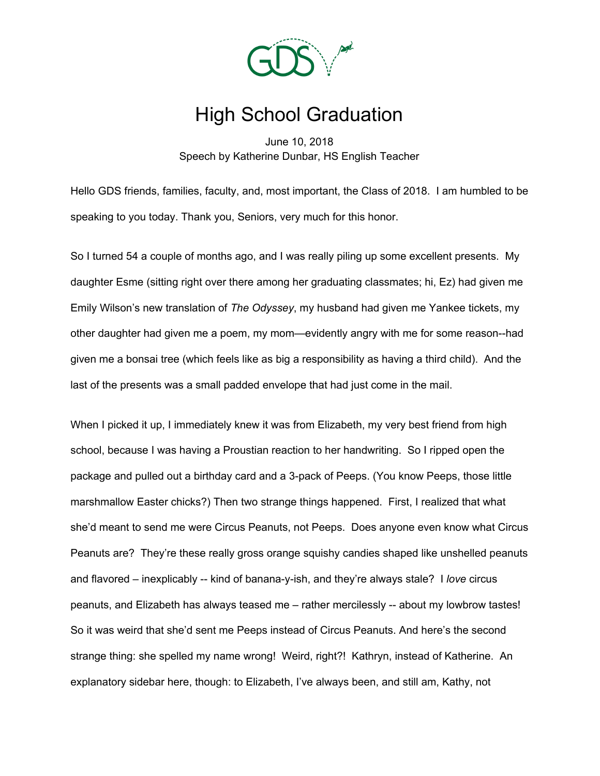

## High School Graduation

June 10, 2018 Speech by Katherine Dunbar, HS English Teacher

Hello GDS friends, families, faculty, and, most important, the Class of 2018. I am humbled to be speaking to you today. Thank you, Seniors, very much for this honor.

So I turned 54 a couple of months ago, and I was really piling up some excellent presents. My daughter Esme (sitting right over there among her graduating classmates; hi, Ez) had given me Emily Wilson's new translation of *The Odyssey*, my husband had given me Yankee tickets, my other daughter had given me a poem, my mom—evidently angry with me for some reason--had given me a bonsai tree (which feels like as big a responsibility as having a third child). And the last of the presents was a small padded envelope that had just come in the mail.

When I picked it up, I immediately knew it was from Elizabeth, my very best friend from high school, because I was having a Proustian reaction to her handwriting. So I ripped open the package and pulled out a birthday card and a 3-pack of Peeps. (You know Peeps, those little marshmallow Easter chicks?) Then two strange things happened. First, I realized that what she'd meant to send me were Circus Peanuts, not Peeps. Does anyone even know what Circus Peanuts are? They're these really gross orange squishy candies shaped like unshelled peanuts and flavored – inexplicably -- kind of banana-y-ish, and they're always stale? I *love* circus peanuts, and Elizabeth has always teased me – rather mercilessly -- about my lowbrow tastes! So it was weird that she'd sent me Peeps instead of Circus Peanuts. And here's the second strange thing: she spelled my name wrong! Weird, right?! Kathryn, instead of Katherine. An explanatory sidebar here, though: to Elizabeth, I've always been, and still am, Kathy, not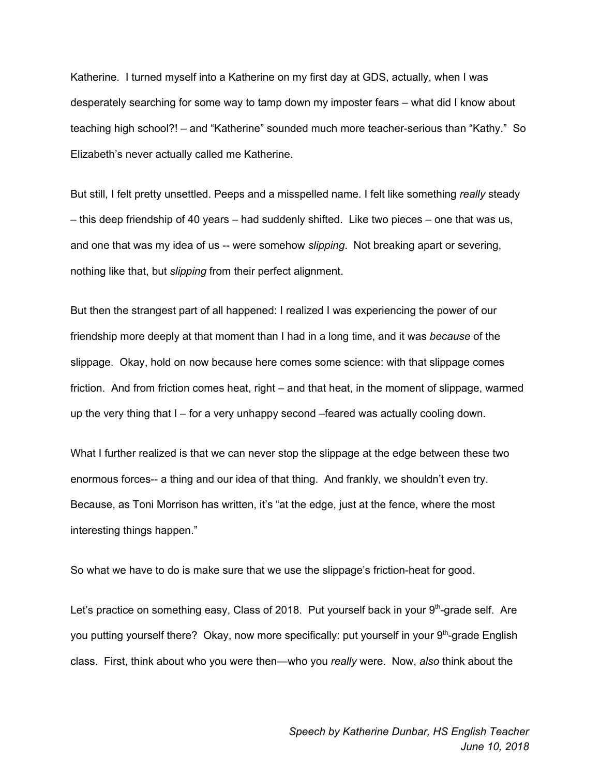Katherine. I turned myself into a Katherine on my first day at GDS, actually, when I was desperately searching for some way to tamp down my imposter fears – what did I know about teaching high school?! – and "Katherine" sounded much more teacher-serious than "Kathy." So Elizabeth's never actually called me Katherine.

But still, I felt pretty unsettled. Peeps and a misspelled name. I felt like something *really* steady – this deep friendship of 40 years – had suddenly shifted. Like two pieces – one that was us, and one that was my idea of us -- were somehow *slipping*. Not breaking apart or severing, nothing like that, but *slipping* from their perfect alignment.

But then the strangest part of all happened: I realized I was experiencing the power of our friendship more deeply at that moment than I had in a long time, and it was *because* of the slippage. Okay, hold on now because here comes some science: with that slippage comes friction. And from friction comes heat, right – and that heat, in the moment of slippage, warmed up the very thing that I – for a very unhappy second –feared was actually cooling down.

What I further realized is that we can never stop the slippage at the edge between these two enormous forces-- a thing and our idea of that thing. And frankly, we shouldn't even try. Because, as Toni Morrison has written, it's "at the edge, just at the fence, where the most interesting things happen."

So what we have to do is make sure that we use the slippage's friction-heat for good.

Let's practice on something easy, Class of 2018. Put yourself back in your 9<sup>th</sup>-grade self. Are you putting yourself there? Okay, now more specifically: put yourself in your 9<sup>th</sup>-grade English class. First, think about who you were then—who you *really* were. Now, *also* think about the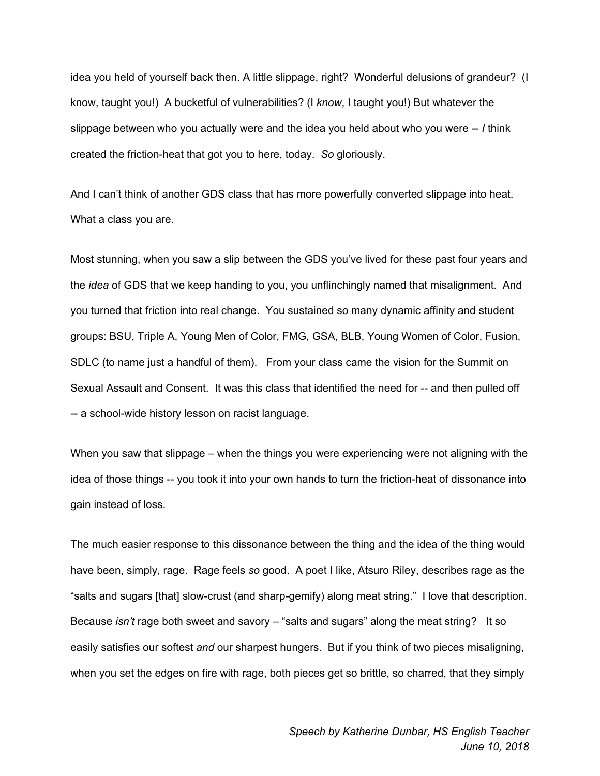idea you held of yourself back then. A little slippage, right? Wonderful delusions of grandeur? (I know, taught you!) A bucketful of vulnerabilities? (I *know*, I taught you!) But whatever the slippage between who you actually were and the idea you held about who you were -- *I* think created the friction-heat that got you to here, today. *So* gloriously.

And I can't think of another GDS class that has more powerfully converted slippage into heat. What a class you are.

Most stunning, when you saw a slip between the GDS you've lived for these past four years and the *idea* of GDS that we keep handing to you, you unflinchingly named that misalignment. And you turned that friction into real change. You sustained so many dynamic affinity and student groups: BSU, Triple A, Young Men of Color, FMG, GSA, BLB, Young Women of Color, Fusion, SDLC (to name just a handful of them). From your class came the vision for the Summit on Sexual Assault and Consent. It was this class that identified the need for -- and then pulled off -- a school-wide history lesson on racist language.

When you saw that slippage – when the things you were experiencing were not aligning with the idea of those things -- you took it into your own hands to turn the friction-heat of dissonance into gain instead of loss.

The much easier response to this dissonance between the thing and the idea of the thing would have been, simply, rage. Rage feels *so* good. A poet I like, Atsuro Riley, describes rage as the "salts and sugars [that] slow-crust (and sharp-gemify) along meat string." I love that description. Because *isn't* rage both sweet and savory – "salts and sugars" along the meat string? It so easily satisfies our softest *and* our sharpest hungers. But if you think of two pieces misaligning, when you set the edges on fire with rage, both pieces get so brittle, so charred, that they simply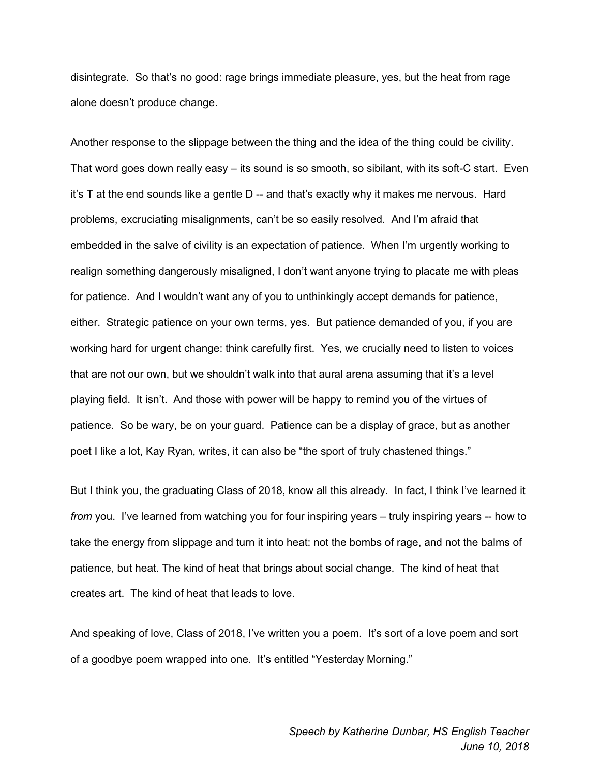disintegrate. So that's no good: rage brings immediate pleasure, yes, but the heat from rage alone doesn't produce change.

Another response to the slippage between the thing and the idea of the thing could be civility. That word goes down really easy – its sound is so smooth, so sibilant, with its soft-C start. Even it's T at the end sounds like a gentle D -- and that's exactly why it makes me nervous. Hard problems, excruciating misalignments, can't be so easily resolved. And I'm afraid that embedded in the salve of civility is an expectation of patience. When I'm urgently working to realign something dangerously misaligned, I don't want anyone trying to placate me with pleas for patience. And I wouldn't want any of you to unthinkingly accept demands for patience, either. Strategic patience on your own terms, yes. But patience demanded of you, if you are working hard for urgent change: think carefully first. Yes, we crucially need to listen to voices that are not our own, but we shouldn't walk into that aural arena assuming that it's a level playing field. It isn't. And those with power will be happy to remind you of the virtues of patience. So be wary, be on your guard. Patience can be a display of grace, but as another poet I like a lot, Kay Ryan, writes, it can also be "the sport of truly chastened things."

But I think you, the graduating Class of 2018, know all this already. In fact, I think I've learned it *from* you. I've learned from watching you for four inspiring years – truly inspiring years -- how to take the energy from slippage and turn it into heat: not the bombs of rage, and not the balms of patience, but heat. The kind of heat that brings about social change. The kind of heat that creates art. The kind of heat that leads to love.

And speaking of love, Class of 2018, I've written you a poem. It's sort of a love poem and sort of a goodbye poem wrapped into one. It's entitled "Yesterday Morning."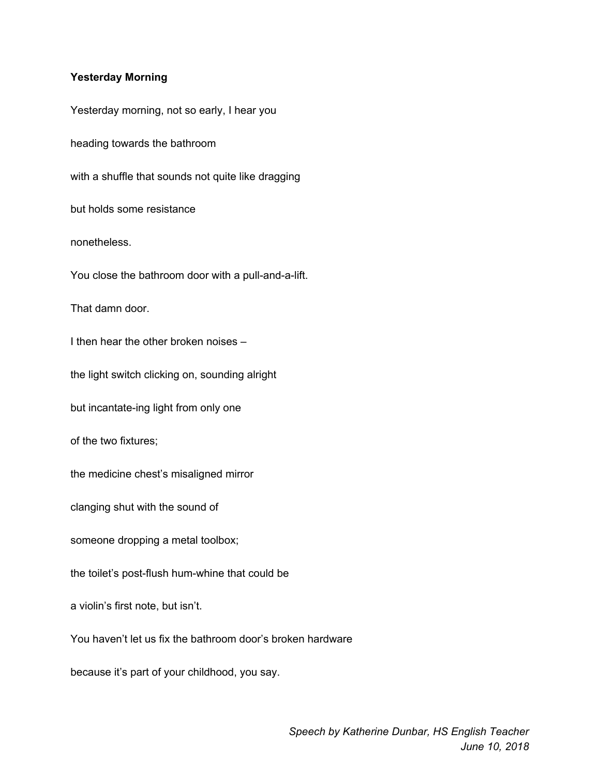## **Yesterday Morning**

Yesterday morning, not so early, I hear you heading towards the bathroom with a shuffle that sounds not quite like dragging but holds some resistance nonetheless. You close the bathroom door with a pull-and-a-lift. That damn door. I then hear the other broken noises – the light switch clicking on, sounding alright but incantate-ing light from only one of the two fixtures; the medicine chest's misaligned mirror clanging shut with the sound of someone dropping a metal toolbox; the toilet's post-flush hum-whine that could be a violin's first note, but isn't. You haven't let us fix the bathroom door's broken hardware because it's part of your childhood, you say.